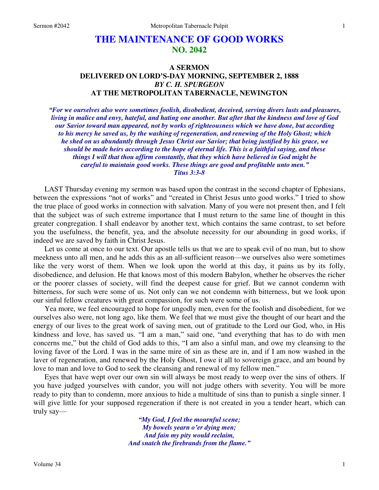# **THE MAINTENANCE OF GOOD WORKS NO. 2042**

# **A SERMON DELIVERED ON LORD'S-DAY MORNING, SEPTEMBER 2, 1888**  *BY C. H. SPURGEON*  **AT THE METROPOLITAN TABERNACLE, NEWINGTON**

*"For we ourselves also were sometimes foolish, disobedient, deceived, serving divers lusts and pleasures, living in malice and envy, hateful, and hating one another. But after that the kindness and love of God our Savior toward man appeared, not by works of righteousness which we have done, but according to his mercy he saved us, by the washing of regeneration, and renewing of the Holy Ghost; which he shed on us abundantly through Jesus Christ our Savior; that being justified by his grace, we should be made heirs according to the hope of eternal life. This is a faithful saying, and these things I will that thou affirm constantly, that they which have believed in God might be careful to maintain good works. These things are good and profitable unto men." Titus 3:3-8* 

LAST Thursday evening my sermon was based upon the contrast in the second chapter of Ephesians, between the expressions "not of works" and "created in Christ Jesus unto good works." I tried to show the true place of good works in connection with salvation. Many of you were not present then, and I felt that the subject was of such extreme importance that I must return to the same line of thought in this greater congregation. I shall endeavor by another text, which contains the same contrast, to set before you the usefulness, the benefit, yea, and the absolute necessity for our abounding in good works, if indeed we are saved by faith in Christ Jesus.

Let us come at once to our text. Our apostle tells us that we are to speak evil of no man, but to show meekness unto all men, and he adds this as an all-sufficient reason—we ourselves also were sometimes like the very worst of them. When we look upon the world at this day, it pains us by its folly, disobedience, and delusion. He that knows most of this modern Babylon, whether he observes the richer or the poorer classes of society, will find the deepest cause for grief. But we cannot condemn with bitterness, for such were some of us. Not only can we not condemn with bitterness, but we look upon our sinful fellow creatures with great compassion, for such were some of us.

Yea more, we feel encouraged to hope for ungodly men, even for the foolish and disobedient, for we ourselves also were, not long ago, like them. We feel that we must give the thought of our heart and the energy of our lives to the great work of saving men, out of gratitude to the Lord our God, who, in His kindness and love, has saved us. "I am a man," said one, "and everything that has to do with men concerns me," but the child of God adds to this, "I am also a sinful man, and owe my cleansing to the loving favor of the Lord. I was in the same mire of sin as these are in, and if I am now washed in the laver of regeneration, and renewed by the Holy Ghost, I owe it all to sovereign grace, and am bound by love to man and love to God to seek the cleansing and renewal of my fellow men."

Eyes that have wept over our own sin will always be most ready to weep over the sins of others. If you have judged yourselves with candor, you will not judge others with severity. You will be more ready to pity than to condemn, more anxious to hide a multitude of sins than to punish a single sinner. I will give little for your supposed regeneration if there is not created in you a tender heart, which can truly say—

> *"My God, I feel the mournful scene; My bowels yearn o'er dying men; And fain my pity would reclaim, And snatch the firebrands from the flame."*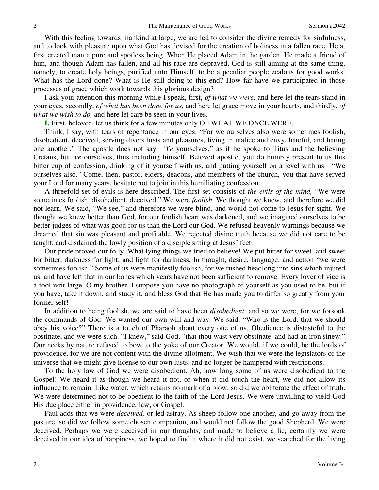With this feeling towards mankind at large, we are led to consider the divine remedy for sinfulness, and to look with pleasure upon what God has devised for the creation of holiness in a fallen race. He at first created man a pure and spotless being. When He placed Adam in the garden, He made a friend of him, and though Adam has fallen, and all his race are depraved, God is still aiming at the same thing, namely, to create holy beings, purified unto Himself, to be a peculiar people zealous for good works. What has the Lord done? What is He still doing to this end? How far have we participated in those processes of grace which work towards this glorious design?

I ask your attention this morning while I speak, first, *of what we were,* and here let the tears stand in your eyes, secondly, *of what has been done for us,* and here let grace move in your hearts, and thirdly, *of what we wish to do,* and here let care be seen in your lives.

**I.** First, beloved, let us think for a few minutes only OF WHAT WE ONCE WERE.

Think, I say, with tears of repentance in our eyes. "For we ourselves also were sometimes foolish, disobedient, deceived, serving divers lusts and pleasures, living in malice and envy, hateful, and hating one another." The apostle does not say, *"Ye* yourselves," as if he spoke to Titus and the believing Cretans, but *we* ourselves, thus including himself. Beloved apostle, you do humbly present to us this bitter cup of confession, drinking of it yourself with us, and putting yourself on a level with us—"We ourselves also." Come, then, pastor, elders, deacons, and members of the church, you that have served your Lord for many years, hesitate not to join in this humiliating confession.

A threefold set of evils is here described. The first set consists of *the evils of the mind,* "We were sometimes foolish, disobedient, deceived." We were *foolish*. We thought we knew, and therefore we did not learn. We said, "We see," and therefore we were blind, and would not come to Jesus for sight. We thought we knew better than God, for our foolish heart was darkened, and we imagined ourselves to be better judges of what was good for us than the Lord our God. We refused heavenly warnings because we dreamed that sin was pleasant and profitable. We rejected divine truth because we did not care to be taught, and disdained the lowly position of a disciple sitting at Jesus' feet.

Our pride proved our folly. What lying things we tried to believe! We put bitter for sweet, and sweet for bitter, darkness for light, and light for darkness. In thought, desire, language, and action "we were sometimes foolish." Some of us were manifestly foolish, for we rushed headlong into sins which injured us, and have left that in our bones which years have not been sufficient to remove. Every lover of vice is a fool writ large. O my brother, I suppose you have no photograph of yourself as you used to be, but if you have, take it down, and study it, and bless God that He has made you to differ so greatly from your former self!

In addition to being foolish, we are said to have been *disobedient,* and so we were, for we forsook the commands of God. We wanted our own will and way. We said, "Who is the Lord, that we should obey his voice?" There is a touch of Pharaoh about every one of us. Obedience is distasteful to the obstinate, and we were such. "I knew," said God, "that thou wast very obstinate, and had an iron sinew." Our necks by nature refused to bow to the yoke of our Creator. We would, if we could, be the lords of providence, for we are not content with the divine allotment. We wish that we were the legislators of the universe that we might give license to our own lusts, and no longer be hampered with restrictions.

To the holy law of God we were disobedient. Ah, how long some of us were disobedient to the Gospel! We heard it as though we heard it not, or when it did touch the heart, we did not allow its influence to remain. Like water, which retains no mark of a blow, so did we obliterate the effect of truth. We were determined not to be obedient to the faith of the Lord Jesus. We were unwilling to yield God His due place either in providence, law, or Gospel.

Paul adds that we were *deceived,* or led astray. As sheep follow one another, and go away from the pasture, so did we follow some chosen companion, and would not follow the good Shepherd. We were deceived. Perhaps we were deceived in our thoughts, and made to believe a lie, certainly we were deceived in our idea of happiness, we hoped to find it where it did not exist, we searched for the living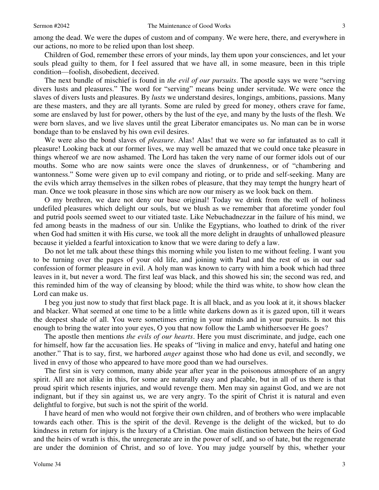Children of God, remember these errors of your minds, lay them upon your consciences, and let your souls plead guilty to them, for I feel assured that we have all, in some measure, been in this triple condition—foolish, disobedient, deceived.

The next bundle of mischief is found in *the evil of our pursuits*. The apostle says we were "serving divers lusts and pleasures." The word for "serving" means being under servitude. We were once the slaves of divers lusts and pleasures. By *lusts* we understand desires, longings, ambitions, passions. Many are these masters, and they are all tyrants. Some are ruled by greed for money, others crave for fame, some are enslaved by lust for power, others by the lust of the eye, and many by the lusts of the flesh. We were born slaves, and we live slaves until the great Liberator emancipates us. No man can be in worse bondage than to be enslaved by his own evil desires.

We were also the bond slaves of *pleasure*. Alas! Alas! that we were so far infatuated as to call it pleasure! Looking back at our former lives, we may well be amazed that we could once take pleasure in things whereof we are now ashamed. The Lord has taken the very name of our former idols out of our mouths. Some who are now saints were once the slaves of drunkenness, or of "chambering and wantonness." Some were given up to evil company and rioting, or to pride and self-seeking. Many are the evils which array themselves in the silken robes of pleasure, that they may tempt the hungry heart of man. Once we took pleasure in those sins which are now our misery as we look back on them.

O my brethren, we dare not deny our base original! Today we drink from the well of holiness undefiled pleasures which delight our souls, but we blush as we remember that aforetime yonder foul and putrid pools seemed sweet to our vitiated taste. Like Nebuchadnezzar in the failure of his mind, we fed among beasts in the madness of our sin. Unlike the Egyptians, who loathed to drink of the river when God had smitten it with His curse, we took all the more delight in draughts of unhallowed pleasure because it yielded a fearful intoxication to know that we were daring to defy a law.

Do not let me talk about these things this morning while you listen to me without feeling. I want you to be turning over the pages of your old life, and joining with Paul and the rest of us in our sad confession of former pleasure in evil. A holy man was known to carry with him a book which had three leaves in it, but never a word. The first leaf was black, and this showed his sin; the second was red, and this reminded him of the way of cleansing by blood; while the third was white, to show how clean the Lord can make us.

I beg you just now to study that first black page. It is all black, and as you look at it, it shows blacker and blacker. What seemed at one time to be a little white darkens down as it is gazed upon, till it wears the deepest shade of all. You were sometimes erring in your minds and in your pursuits. Is not this enough to bring the water into your eyes, O you that now follow the Lamb whithersoever He goes?

The apostle then mentions *the evils of our hearts*. Here you must discriminate, and judge, each one for himself, how far the accusation lies. He speaks of "living in malice and envy, hateful and hating one another." That is to say, first, we harbored *anger* against those who had done us evil, and secondly, we lived in envy of those who appeared to have more good than we had ourselves.

The first sin is very common, many abide year after year in the poisonous atmosphere of an angry spirit. All are not alike in this, for some are naturally easy and placable, but in all of us there is that proud spirit which resents injuries, and would revenge them. Men may sin against God, and we are not indignant, but if they sin against us, we are very angry. To the spirit of Christ it is natural and even delightful to forgive, but such is not the spirit of the world.

I have heard of men who would not forgive their own children, and of brothers who were implacable towards each other. This is the spirit of the devil. Revenge is the delight of the wicked, but to do kindness in return for injury is the luxury of a Christian. One main distinction between the heirs of God and the heirs of wrath is this, the unregenerate are in the power of self, and so of hate, but the regenerate are under the dominion of Christ, and so of love. You may judge yourself by this, whether your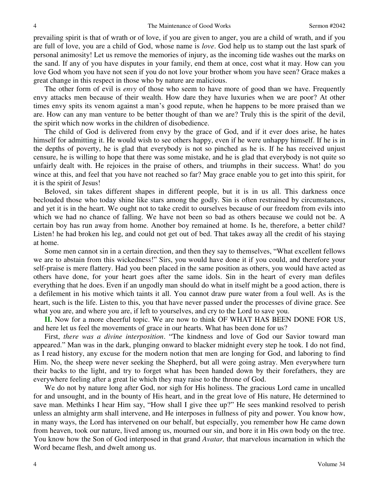prevailing spirit is that of wrath or of love, if you are given to anger, you are a child of wrath, and if you are full of love, you are a child of God, whose name is *love*. God help us to stamp out the last spark of personal animosity! Let us remove the memories of injury, as the incoming tide washes out the marks on the sand. If any of you have disputes in your family, end them at once, cost what it may. How can you love God whom you have not seen if you do not love your brother whom you have seen? Grace makes a great change in this respect in those who by nature are malicious.

The other form of evil is *envy* of those who seem to have more of good than we have. Frequently envy attacks men because of their wealth. How dare they have luxuries when we are poor? At other times envy spits its venom against a man's good repute, when he happens to be more praised than we are. How can any man venture to be better thought of than we are? Truly this is the spirit of the devil, the spirit which now works in the children of disobedience.

The child of God is delivered from envy by the grace of God, and if it ever does arise, he hates himself for admitting it. He would wish to see others happy, even if he were unhappy himself. If he is in the depths of poverty, he is glad that everybody is not so pinched as he is. If he has received unjust censure, he is willing to hope that there was some mistake, and he is glad that everybody is not quite so unfairly dealt with. He rejoices in the praise of others, and triumphs in their success. What! do you wince at this, and feel that you have not reached so far? May grace enable you to get into this spirit, for it is the spirit of Jesus!

Beloved, sin takes different shapes in different people, but it is in us all. This darkness once beclouded those who today shine like stars among the godly. Sin is often restrained by circumstances, and yet it is in the heart. We ought not to take credit to ourselves because of our freedom from evils into which we had no chance of falling. We have not been so bad as others because we could not be. A certain boy has run away from home. Another boy remained at home. Is he, therefore, a better child? Listen! he had broken his leg, and could not get out of bed. That takes away all the credit of his staying at home.

Some men cannot sin in a certain direction, and then they say to themselves, "What excellent fellows we are to abstain from this wickedness!" Sirs, you would have done it if you could, and therefore your self-praise is mere flattery. Had you been placed in the same position as others, you would have acted as others have done, for your heart goes after the same idols. Sin in the heart of every man defiles everything that he does. Even if an ungodly man should do what in itself might be a good action, there is a defilement in his motive which taints it all. You cannot draw pure water from a foul well. As is the heart, such is the life. Listen to this, you that have never passed under the processes of divine grace. See what you are, and where you are, if left to yourselves, and cry to the Lord to save you.

**II.** Now for a more cheerful topic. We are now to think OF WHAT HAS BEEN DONE FOR US, and here let us feel the movements of grace in our hearts. What has been done for us?

First, *there was a divine interposition*. "The kindness and love of God our Savior toward man appeared." Man was in the dark, plunging onward to blacker midnight every step he took. I do not find, as I read history, any excuse for the modern notion that men are longing for God, and laboring to find Him. No, the sheep were never seeking the Shepherd, but all were going astray. Men everywhere turn their backs to the light, and try to forget what has been handed down by their forefathers, they are everywhere feeling after a great lie which they may raise to the throne of God.

We do not by nature long after God, nor sigh for His holiness. The gracious Lord came in uncalled for and unsought, and in the bounty of His heart, and in the great love of His nature, He determined to save man. Methinks I hear Him say, "How shall I give thee up?" He sees mankind resolved to perish unless an almighty arm shall intervene, and He interposes in fullness of pity and power. You know how, in many ways, the Lord has intervened on our behalf, but especially, you remember how He came down from heaven, took our nature, lived among us, mourned our sin, and bore it in His own body on the tree. You know how the Son of God interposed in that grand *Avatar,* that marvelous incarnation in which the Word became flesh, and dwelt among us.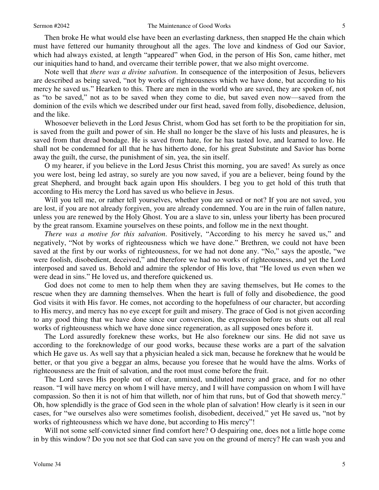Then broke He what would else have been an everlasting darkness, then snapped He the chain which must have fettered our humanity throughout all the ages. The love and kindness of God our Savior, which had always existed, at length "appeared" when God, in the person of His Son, came hither, met our iniquities hand to hand, and overcame their terrible power, that we also might overcome.

Note well that *there was a divine salvation*. In consequence of the interposition of Jesus, believers are described as being saved, "not by works of righteousness which we have done, but according to his mercy he saved us." Hearken to this. There are men in the world who are saved, they are spoken of, not as "to be saved," not as to be saved when they come to die, but saved even now—saved from the dominion of the evils which we described under our first head, saved from folly, disobedience, delusion, and the like.

Whosoever believeth in the Lord Jesus Christ, whom God has set forth to be the propitiation for sin, is saved from the guilt and power of sin. He shall no longer be the slave of his lusts and pleasures, he is saved from that dread bondage. He is saved from hate, for he has tasted love, and learned to love. He shall not be condemned for all that he has hitherto done, for his great Substitute and Savior has borne away the guilt, the curse, the punishment of sin, yea, the sin itself.

O my hearer, if you believe in the Lord Jesus Christ this morning, you are saved! As surely as once you were lost, being led astray, so surely are you now saved, if you are a believer, being found by the great Shepherd, and brought back again upon His shoulders. I beg you to get hold of this truth that according to His mercy the Lord has saved us who believe in Jesus.

Will you tell me, or rather tell yourselves, whether you are saved or not? If you are not saved, you are lost, if you are not already forgiven, you are already condemned. You are in the ruin of fallen nature, unless you are renewed by the Holy Ghost. You are a slave to sin, unless your liberty has been procured by the great ransom. Examine yourselves on these points, and follow me in the next thought.

*There was a motive for this salvation*. Positively, "According to his mercy he saved us," and negatively, "Not by works of righteousness which we have done." Brethren, we could not have been saved at the first by our works of righteousness, for we had not done any. "No," says the apostle, "we were foolish, disobedient, deceived," and therefore we had no works of righteousness, and yet the Lord interposed and saved us. Behold and admire the splendor of His love, that "He loved us even when we were dead in sins." He loved us, and therefore quickened us.

God does not come to men to help them when they are saving themselves, but He comes to the rescue when they are damning themselves. When the heart is full of folly and disobedience, the good God visits it with His favor. He comes, not according to the hopefulness of our character, but according to His mercy, and mercy has no eye except for guilt and misery. The grace of God is not given according to any good thing that we have done since our conversion, the expression before us shuts out all real works of righteousness which we have done since regeneration, as all supposed ones before it.

The Lord assuredly foreknew these works, but He also foreknew our sins. He did not save us according to the foreknowledge of our good works, because these works are a part of the salvation which He gave us. As well say that a physician healed a sick man, because he foreknew that he would be better, or that you give a beggar an alms, because you foresee that he would have the alms. Works of righteousness are the fruit of salvation, and the root must come before the fruit.

The Lord saves His people out of clear, unmixed, undiluted mercy and grace, and for no other reason. "I will have mercy on whom I will have mercy, and I will have compassion on whom I will have compassion. So then it is not of him that willeth, nor of him that runs, but of God that showeth mercy." Oh, how splendidly is the grace of God seen in the whole plan of salvation! How clearly is it seen in our cases, for "we ourselves also were sometimes foolish, disobedient, deceived," yet He saved us, "not by works of righteousness which we have done, but according to His mercy"!

Will not some self-convicted sinner find comfort here? O despairing one, does not a little hope come in by this window? Do you not see that God can save you on the ground of mercy? He can wash you and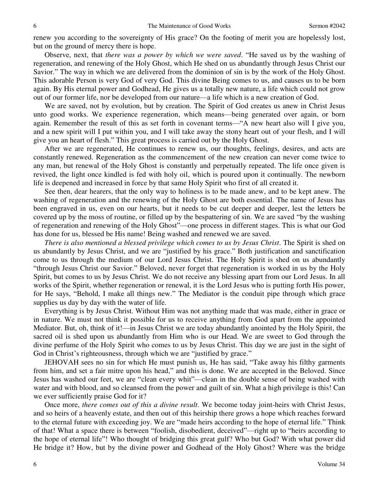renew you according to the sovereignty of His grace? On the footing of merit you are hopelessly lost, but on the ground of mercy there is hope.

Observe, next, that *there was a power by which we were saved*. "He saved us by the washing of regeneration, and renewing of the Holy Ghost, which He shed on us abundantly through Jesus Christ our Savior." The way in which we are delivered from the dominion of sin is by the work of the Holy Ghost. This adorable Person is very God of very God. This divine Being comes to us, and causes us to be born again. By His eternal power and Godhead, He gives us a totally new nature, a life which could not grow out of our former life, nor be developed from our nature—a life which is a new creation of God.

We are saved, not by evolution, but by creation. The Spirit of God creates us anew in Christ Jesus unto good works. We experience regeneration, which means—being generated over again, or born again. Remember the result of this as set forth in covenant terms—"A new heart also will I give you, and a new spirit will I put within you, and I will take away the stony heart out of your flesh, and I will give you an heart of flesh." This great process is carried out by the Holy Ghost.

After we are regenerated, He continues to renew us, our thoughts, feelings, desires, and acts are constantly renewed. Regeneration as the commencement of the new creation can never come twice to any man, but renewal of the Holy Ghost is constantly and perpetually repeated. The life once given is revived, the light once kindled is fed with holy oil, which is poured upon it continually. The newborn life is deepened and increased in force by that same Holy Spirit who first of all created it.

See then, dear hearers, that the only way to holiness is to be made anew, and to be kept anew. The washing of regeneration and the renewing of the Holy Ghost are both essential. The name of Jesus has been engraved in us, even on our hearts, but it needs to be cut deeper and deeper, lest the letters be covered up by the moss of routine, or filled up by the bespattering of sin. We are saved "by the washing of regeneration and renewing of the Holy Ghost"—one process in different stages. This is what our God has done for us, blessed be His name! Being washed and renewed we are saved.

*There is also mentioned a blessed privilege which comes to us by Jesus Christ*. The Spirit is shed on us abundantly by Jesus Christ, and we are "justified by his grace." Both justification and sanctification come to us through the medium of our Lord Jesus Christ. The Holy Spirit is shed on us abundantly "through Jesus Christ our Savior." Beloved, never forget that regeneration is worked in us by the Holy Spirit, but comes to us by Jesus Christ. We do not receive any blessing apart from our Lord Jesus. In all works of the Spirit, whether regeneration or renewal, it is the Lord Jesus who is putting forth His power, for He says, "Behold, I make all things new." The Mediator is the conduit pipe through which grace supplies us day by day with the water of life.

Everything is by Jesus Christ. Without Him was not anything made that was made, either in grace or in nature. We must not think it possible for us to receive anything from God apart from the appointed Mediator. But, oh, think of it!—in Jesus Christ we are today abundantly anointed by the Holy Spirit, the sacred oil is shed upon us abundantly from Him who is our Head. We are sweet to God through the divine perfume of the Holy Spirit who comes to us by Jesus Christ. This day we are just in the sight of God in Christ's righteousness, through which we are "justified by grace."

JEHOVAH sees no sin for which He must punish us, He has said, "Take away his filthy garments from him, and set a fair mitre upon his head," and this is done. We are accepted in the Beloved. Since Jesus has washed our feet, we are "clean every whit"—clean in the double sense of being washed with water and with blood, and so cleansed from the power and guilt of sin. What a high privilege is this! Can we ever sufficiently praise God for it?

Once more, *there comes out of this a divine result*. We become today joint-heirs with Christ Jesus, and so heirs of a heavenly estate, and then out of this heirship there grows a hope which reaches forward to the eternal future with exceeding joy. We are "made heirs according to the hope of eternal life." Think of that! What a space there is between "foolish, disobedient, deceived"—right up to "heirs according to the hope of eternal life"! Who thought of bridging this great gulf? Who but God? With what power did He bridge it? How, but by the divine power and Godhead of the Holy Ghost? Where was the bridge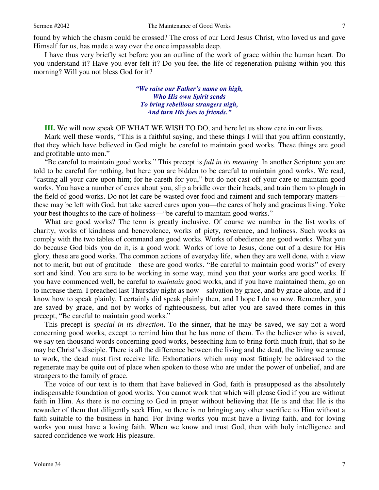found by which the chasm could be crossed? The cross of our Lord Jesus Christ, who loved us and gave Himself for us, has made a way over the once impassable deep.

I have thus very briefly set before you an outline of the work of grace within the human heart. Do you understand it? Have you ever felt it? Do you feel the life of regeneration pulsing within you this morning? Will you not bless God for it?

> *"We raise our Father's name on high, Who His own Spirit sends To bring rebellious strangers nigh, And turn His foes to friends."*

**III.** We will now speak OF WHAT WE WISH TO DO, and here let us show care in our lives.

Mark well these words, "This is a faithful saying, and these things I will that you affirm constantly, that they which have believed in God might be careful to maintain good works. These things are good and profitable unto men."

"Be careful to maintain good works." This precept is *full in its meaning*. In another Scripture you are told to be careful for nothing, but here you are bidden to be careful to maintain good works. We read, "casting all your care upon him; for he careth for you," but do not cast off your care to maintain good works. You have a number of cares about you, slip a bridle over their heads, and train them to plough in the field of good works. Do not let care be wasted over food and raiment and such temporary matters these may be left with God, but take sacred cares upon you—the cares of holy and gracious living. Yoke your best thoughts to the care of holiness—"be careful to maintain good works."

What are good works? The term is greatly inclusive. Of course we number in the list works of charity, works of kindness and benevolence, works of piety, reverence, and holiness. Such works as comply with the two tables of command are good works. Works of obedience are good works. What you do because God bids you do it, is a good work. Works of love to Jesus, done out of a desire for His glory, these are good works. The common actions of everyday life, when they are well done, with a view not to merit, but out of gratitude—these are good works. "Be careful to maintain good works" of every sort and kind. You are sure to be working in some way, mind you that your works are good works. If you have commenced well, be careful to *maintain* good works, and if you have maintained them, go on to increase them. I preached last Thursday night as now—salvation by grace, and by grace alone, and if I know how to speak plainly, I certainly did speak plainly then, and I hope I do so now. Remember, you are saved by grace, and not by works of righteousness, but after you are saved there comes in this precept, "Be careful to maintain good works."

This precept is *special in its direction*. To the sinner, that he may be saved, we say not a word concerning good works, except to remind him that he has none of them. To the believer who is saved, we say ten thousand words concerning good works, beseeching him to bring forth much fruit, that so he may be Christ's disciple. There is all the difference between the living and the dead, the living we arouse to work, the dead must first receive life. Exhortations which may most fittingly be addressed to the regenerate may be quite out of place when spoken to those who are under the power of unbelief, and are strangers to the family of grace.

The voice of our text is to them that have believed in God, faith is presupposed as the absolutely indispensable foundation of good works. You cannot work that which will please God if you are without faith in Him. As there is no coming to God in prayer without believing that He is and that He is the rewarder of them that diligently seek Him, so there is no bringing any other sacrifice to Him without a faith suitable to the business in hand. For living works you must have a living faith, and for loving works you must have a loving faith. When we know and trust God, then with holy intelligence and sacred confidence we work His pleasure.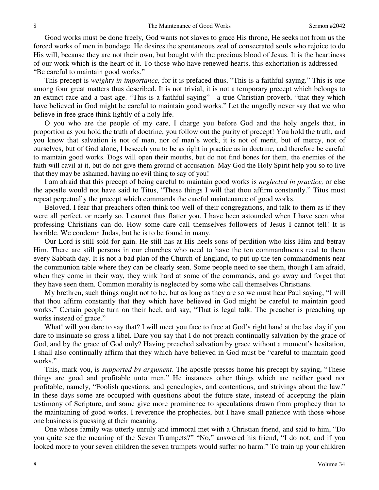Good works must be done freely, God wants not slaves to grace His throne, He seeks not from us the forced works of men in bondage. He desires the spontaneous zeal of consecrated souls who rejoice to do His will, because they are not their own, but bought with the precious blood of Jesus. It is the heartiness of our work which is the heart of it. To those who have renewed hearts, this exhortation is addressed— "Be careful to maintain good works."

This precept is *weighty in importance,* for it is prefaced thus, "This is a faithful saying." This is one among four great matters thus described. It is not trivial, it is not a temporary precept which belongs to an extinct race and a past age. "This is a faithful saying"—a true Christian proverb, "that they which have believed in God might be careful to maintain good works." Let the ungodly never say that we who believe in free grace think lightly of a holy life.

O you who are the people of my care, I charge you before God and the holy angels that, in proportion as you hold the truth of doctrine, you follow out the purity of precept! You hold the truth, and you know that salvation is not of man, nor of man's work, it is not of merit, but of mercy, not of ourselves, but of God alone, I beseech you to be as right in practice as in doctrine, and therefore be careful to maintain good works. Dogs will open their mouths, but do not find bones for them, the enemies of the faith will cavil at it, but do not give them ground of accusation. May God the Holy Spirit help you so to live that they may be ashamed, having no evil thing to say of you!

I am afraid that this precept of being careful to maintain good works is *neglected in practice,* or else the apostle would not have said to Titus, "These things I will that thou affirm constantly." Titus must repeat perpetually the precept which commands the careful maintenance of good works.

Beloved, I fear that preachers often think too well of their congregations, and talk to them as if they were all perfect, or nearly so. I cannot thus flatter you. I have been astounded when I have seen what professing Christians can do. How some dare call themselves followers of Jesus I cannot tell! It is horrible. We condemn Judas, but he is to be found in many.

Our Lord is still sold for gain. He still has at His heels sons of perdition who kiss Him and betray Him. There are still persons in our churches who need to have the ten commandments read to them every Sabbath day. It is not a bad plan of the Church of England, to put up the ten commandments near the communion table where they can be clearly seen. Some people need to see them, though I am afraid, when they come in their way, they wink hard at some of the commands, and go away and forget that they have seen them. Common morality is neglected by some who call themselves Christians.

My brethren, such things ought not to be, but as long as they are so we must hear Paul saying, "I will that thou affirm constantly that they which have believed in God might be careful to maintain good works." Certain people turn on their heel, and say, "That is legal talk. The preacher is preaching up works instead of grace."

What! will you dare to say that? I will meet you face to face at God's right hand at the last day if you dare to insinuate so gross a libel. Dare you say that I do not preach continually salvation by the grace of God, and by the grace of God only? Having preached salvation by grace without a moment's hesitation, I shall also continually affirm that they which have believed in God must be "careful to maintain good works."

This, mark you, is *supported by argument*. The apostle presses home his precept by saying, "These things are good and profitable unto men." He instances other things which are neither good nor profitable, namely, "Foolish questions, and genealogies, and contentions, and strivings about the law." In these days some are occupied with questions about the future state, instead of accepting the plain testimony of Scripture, and some give more prominence to speculations drawn from prophecy than to the maintaining of good works. I reverence the prophecies, but I have small patience with those whose one business is guessing at their meaning.

One whose family was utterly unruly and immoral met with a Christian friend, and said to him, "Do you quite see the meaning of the Seven Trumpets?" "No," answered his friend, "I do not, and if you looked more to your seven children the seven trumpets would suffer no harm." To train up your children